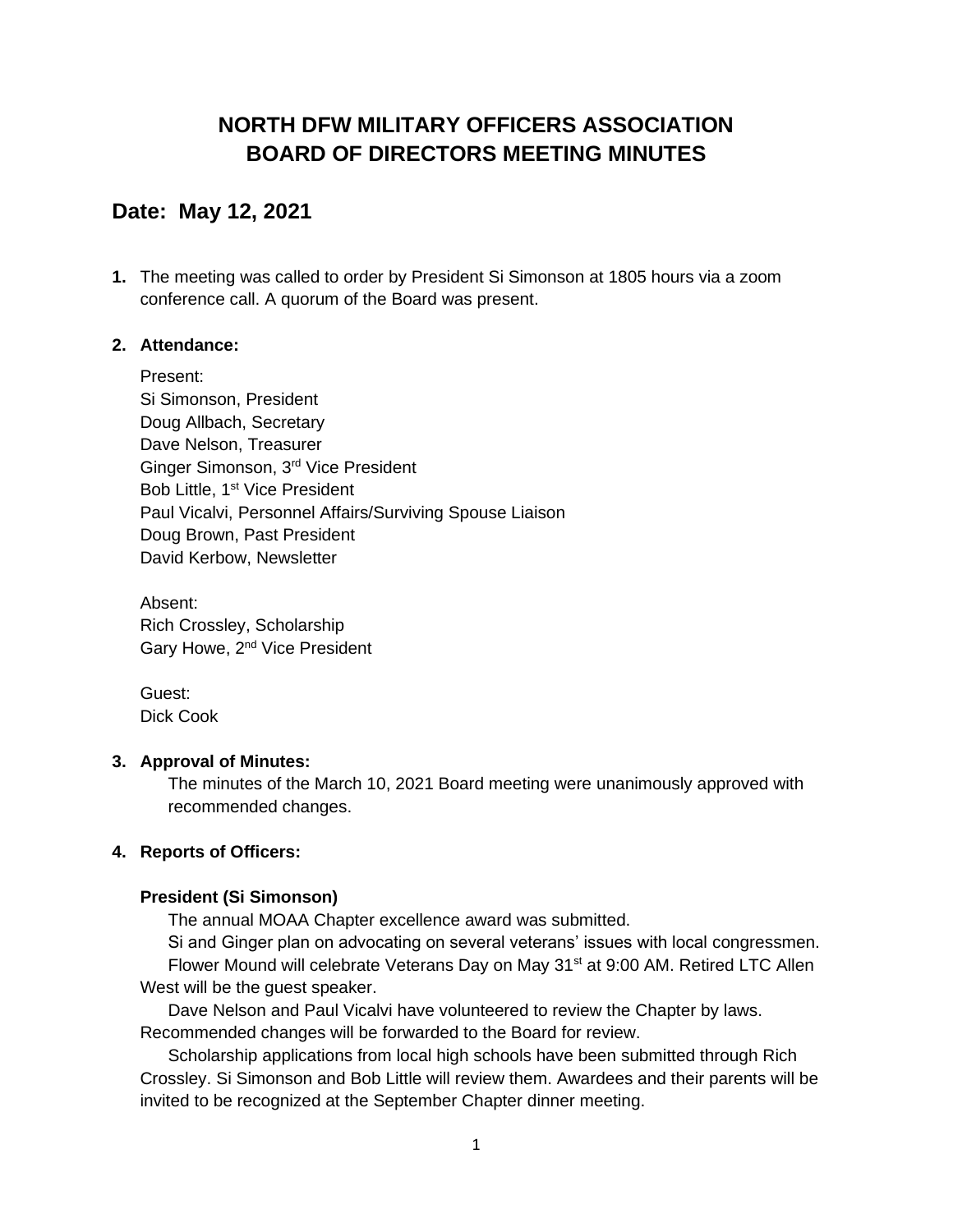# **NORTH DFW MILITARY OFFICERS ASSOCIATION BOARD OF DIRECTORS MEETING MINUTES**

# **Date: May 12, 2021**

**1.** The meeting was called to order by President Si Simonson at 1805 hours via a zoom conference call. A quorum of the Board was present.

### **2. Attendance:**

Present: Si Simonson, President Doug Allbach, Secretary Dave Nelson, Treasurer Ginger Simonson, 3rd Vice President Bob Little, 1<sup>st</sup> Vice President Paul Vicalvi, Personnel Affairs/Surviving Spouse Liaison Doug Brown, Past President David Kerbow, Newsletter

Absent: Rich Crossley, Scholarship Gary Howe, 2<sup>nd</sup> Vice President

Guest: Dick Cook

#### **3. Approval of Minutes:**

The minutes of the March 10, 2021 Board meeting were unanimously approved with recommended changes.

## **4. Reports of Officers:**

#### **President (Si Simonson)**

The annual MOAA Chapter excellence award was submitted.

Si and Ginger plan on advocating on several veterans' issues with local congressmen. Flower Mound will celebrate Veterans Day on May 31<sup>st</sup> at 9:00 AM. Retired LTC Allen West will be the guest speaker.

Dave Nelson and Paul Vicalvi have volunteered to review the Chapter by laws. Recommended changes will be forwarded to the Board for review.

Scholarship applications from local high schools have been submitted through Rich Crossley. Si Simonson and Bob Little will review them. Awardees and their parents will be invited to be recognized at the September Chapter dinner meeting.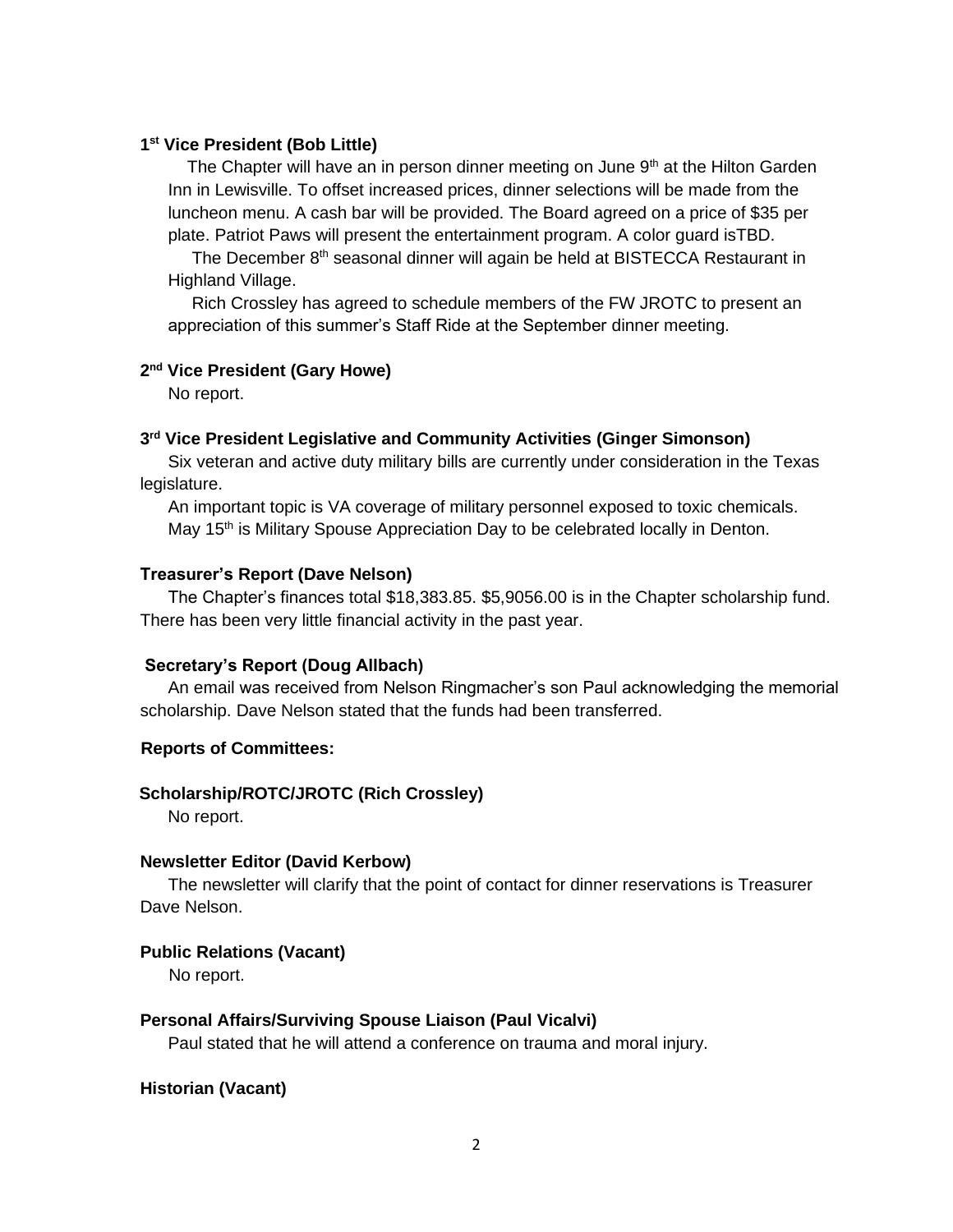#### **1 st Vice President (Bob Little)**

The Chapter will have an in person dinner meeting on June  $9<sup>th</sup>$  at the Hilton Garden Inn in Lewisville. To offset increased prices, dinner selections will be made from the luncheon menu. A cash bar will be provided. The Board agreed on a price of \$35 per plate. Patriot Paws will present the entertainment program. A color guard isTBD.

 The December 8th seasonal dinner will again be held at BISTECCA Restaurant in Highland Village.

 Rich Crossley has agreed to schedule members of the FW JROTC to present an appreciation of this summer's Staff Ride at the September dinner meeting.

#### **2 nd Vice President (Gary Howe)**

No report.

#### **3 rd Vice President Legislative and Community Activities (Ginger Simonson)**

Six veteran and active duty military bills are currently under consideration in the Texas legislature.

An important topic is VA coverage of military personnel exposed to toxic chemicals. May  $15<sup>th</sup>$  is Military Spouse Appreciation Day to be celebrated locally in Denton.

#### **Treasurer's Report (Dave Nelson)**

The Chapter's finances total \$18,383.85. \$5,9056.00 is in the Chapter scholarship fund. There has been very little financial activity in the past year.

#### **Secretary's Report (Doug Allbach)**

An email was received from Nelson Ringmacher's son Paul acknowledging the memorial scholarship. Dave Nelson stated that the funds had been transferred.

#### **Reports of Committees:**

#### **Scholarship/ROTC/JROTC (Rich Crossley)**

No report.

#### **Newsletter Editor (David Kerbow)**

The newsletter will clarify that the point of contact for dinner reservations is Treasurer Dave Nelson.

#### **Public Relations (Vacant)**

No report.

#### **Personal Affairs/Surviving Spouse Liaison (Paul Vicalvi)**

Paul stated that he will attend a conference on trauma and moral injury.

#### **Historian (Vacant)**